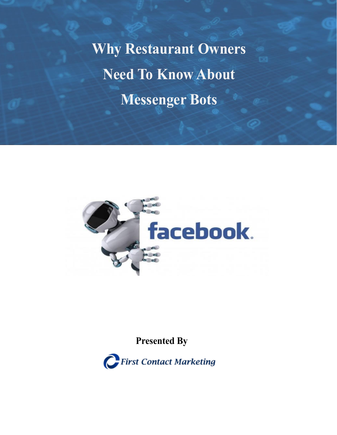**Why Restaurant Owners Need To Know About Messenger Bots**



# **Presented By**

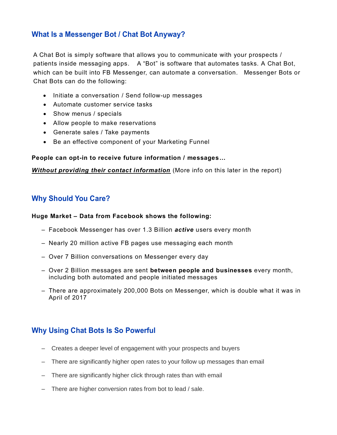# **What Is a Messenger Bot / Chat Bot Anyway?**

A Chat Bot is simply software that allows you to communicate with your prospects / patients inside messaging apps. A "Bot" is software that automates tasks. A Chat Bot, which can be built into FB Messenger, can automate a conversation. Messenger Bots or Chat Bots can do the following:

- Initiate a conversation / Send follow-up messages
- Automate customer service tasks
- Show menus / specials
- Allow people to make reservations
- Generate sales / Take payments
- Be an effective component of your Marketing Funnel

#### **People can opt-in to receive future information / messages…**

*Without providing their contact information* (More info on this later in the report)

### **Why Should You Care?**

#### **Huge Market – Data from Facebook shows the following:**

- Facebook Messenger has over 1.3 Billion *active* users every month
- Nearly 20 million active FB pages use messaging each month
- Over 7 Billion conversations on Messenger every day
- Over 2 Billion messages are sent **between people and businesses** every month, including both automated and people initiated messages
- There are approximately 200,000 Bots on Messenger, which is double what it was in April of 2017

## **Why Using Chat Bots Is So Powerful**

- Creates a deeper level of engagement with your prospects and buyers
- There are significantly higher open rates to your follow up messages than email
- There are significantly higher click through rates than with email
- There are higher conversion rates from bot to lead / sale.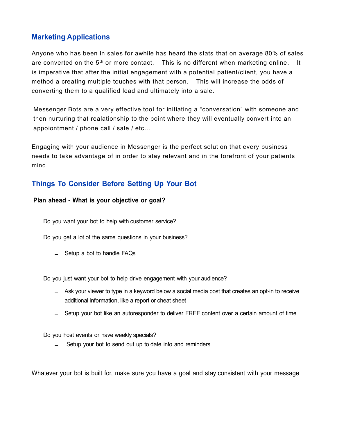# **Marketing Applications**

Anyone who has been in sales for awhile has heard the stats that on average 80% of sales are converted on the  $5<sup>th</sup>$  or more contact. This is no different when marketing online. It is imperative that after the initial engagement with a potential patient/client, you have a method a creating multiple touches with that person. This will increase the odds of converting them to a qualified lead and ultimately into a sale.

Messenger Bots are a very effective tool for initiating a "conversation" with someone and then nurturing that realationship to the point where they will eventually convert into an appoiontment / phone call / sale / etc…

Engaging with your audience in Messenger is the perfect solution that every business needs to take advantage of in order to stay relevant and in the forefront of your patients mind.

# **Things To Consider Before Setting Up Your Bot**

#### **Plan ahead - What is your objective or goal?**

Do you want your bot to help with customer service?

Do you get a lot of the same questions in your business?

‒ Setup a bot to handle FAQs

Do you just want your bot to help drive engagement with your audience?

- ‒ Ask your viewer to type in a keyword below a social media post that creates an opt-in to receive additional information, like a report or cheat sheet
- ‒ Setup your bot like an autoresponder to deliver FREE content over a certain amount of time

Do you host events or have weekly specials?

Setup your bot to send out up to date info and reminders

Whatever your bot is built for, make sure you have a goal and stay consistent with your message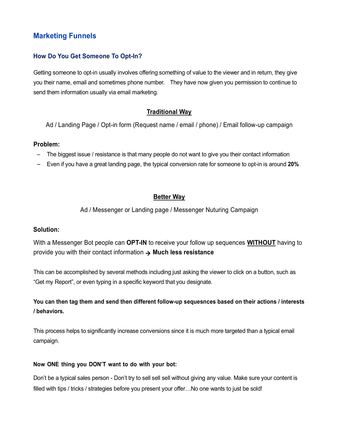# **Marketing Funnels**

#### **How Do You Get Someone To Opt-In?**

Getting someone to opt-in usually involves offering something of value to the viewer and in return, they give you their name, email and sometimes phone number. They have now given you permission to continue to send them information usually via email marketing.

#### **Traditional Way**

Ad / Landing Page / Opt-in form (Request name / email / phone) / Email follow-up campaign

#### **Problem:**

- The biggest issue / resistance is that many people do not want to give you their contact information
- Even if you have a great landing page, the typical conversion rate for someone to opt-in is around **20%**

#### **Better Way**

Ad / Messenger or Landing page / Messenger Nuturing Campaign

#### **Solution:**

With a Messenger Bot people can **OPT-IN** to receive your follow up sequences **WITHOUT** having to provide you with their contact information **Much less resistance**

This can be accomplished by several methods including just asking the viewer to click on a button, such as "Get my Report", or even typing in a specific keyword that you designate.

### **You can then tag them and send then different follow-up sequesnces based on their actions / interests / behaviors.**

This process helps to significantly increase conversions since it is much more targeted than a typical email campaign.

#### **Now ONE thing you DON'T want to do with your bot:**

Don't be a typical sales person - Don't try to sell sell sell without giving any value. Make sure your content is filled with tips / tricks / strategies before you present your offer...No one wants to just be sold!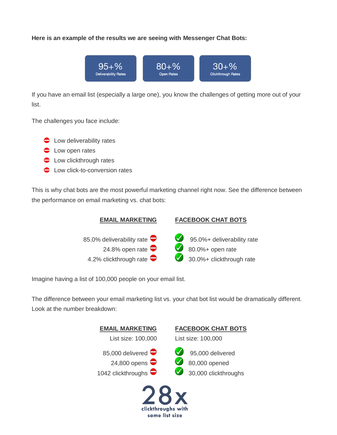#### **Here is an example of the results we are seeing with Messenger Chat Bots:**



If you have an email list (especially a large one), you know the challenges of getting more out of your list.

The challenges you face include:

- **C** Low deliverability rates
- **C** Low open rates
- **C** Low clickthrough rates
- **C** Low click-to-conversion rates

This is why chat bots are the most powerful marketing channel right now. See the difference between the performance on email marketing vs. chat bots:



Imagine having a list of 100,000 people on your email list.

The difference between your email marketing list vs. your chat bot list would be dramatically different. Look at the number breakdown:

| <b>EMAIL MARKETING</b>                                 | <b>FACEBOOK CHAT BOTS</b>                                   |
|--------------------------------------------------------|-------------------------------------------------------------|
| List size: 100,000                                     | List size: 100,000                                          |
| 85,000 delivered<br>24,800 opens<br>1042 clickthroughs | $95,000$ delivered<br>80,000 opened<br>30,000 clickthroughs |
|                                                        |                                                             |

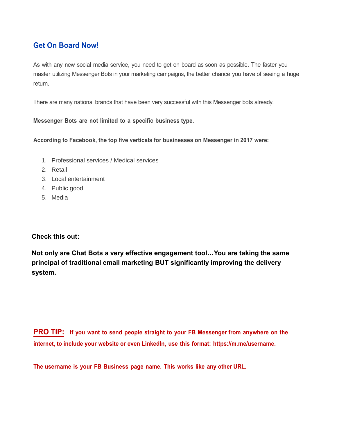# **Get On Board Now!**

As with any new social media service, you need to get on board as soon as possible. The faster you master utilizing Messenger Bots in your marketing campaigns, the better chance you have of seeing a huge return.

There are many national brands that have been very successful with this Messenger bots already.

**Messenger Bots are not limited to a specific business type.**

**According to Facebook, the top five verticals for businesses on Messenger in 2017 were:**

- 1. Professional services / Medical services
- 2. Retail
- 3. Local entertainment
- 4. Public good
- 5. Media

**Check this out:**

**Not only are Chat Bots a very effective engagement tool…You are taking the same principal of traditional email marketing BUT significantly improving the delivery system.**

**PRO TIP: If you want to send people straight to your FB Messenger from anywhere on the internet, to include your website or even LinkedIn, use this format: https://m.me/username.**

**The username is your FB Business page name. This works like any other URL.**